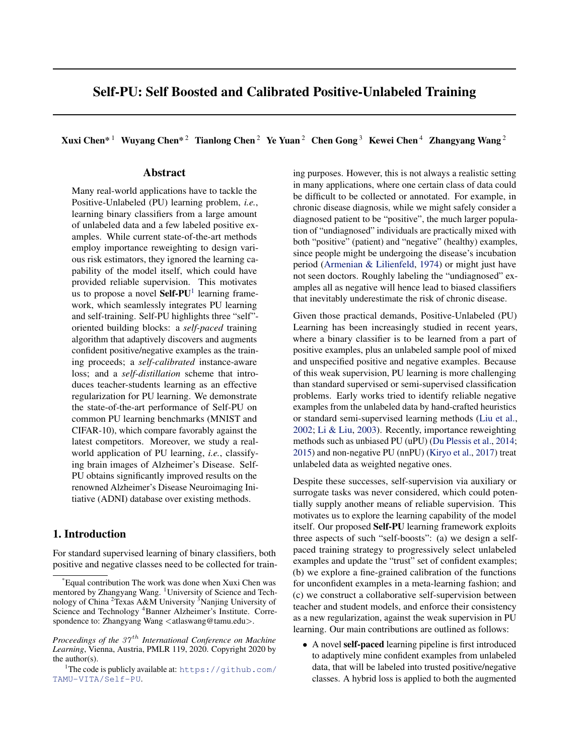# Self-PU: Self Boosted and Calibrated Positive-Unlabeled Training

Xuxi Chen\*<sup>1</sup> Wuyang Chen\*<sup>2</sup> Tianlong Chen<sup>2</sup> Ye Yuan<sup>2</sup> Chen Gong<sup>3</sup> Kewei Chen<sup>4</sup> Zhangyang Wang<sup>2</sup>

# Abstract

Many real-world applications have to tackle the Positive-Unlabeled (PU) learning problem, *i.e.*, learning binary classifiers from a large amount of unlabeled data and a few labeled positive examples. While current state-of-the-art methods employ importance reweighting to design various risk estimators, they ignored the learning capability of the model itself, which could have provided reliable supervision. This motivates us to propose a novel Self-PU<sup>1</sup> learning framework, which seamlessly integrates PU learning and self-training. Self-PU highlights three "self" oriented building blocks: a *self-paced* training algorithm that adaptively discovers and augments confident positive/negative examples as the training proceeds; a *self-calibrated* instance-aware loss; and a *self-distillation* scheme that introduces teacher-students learning as an effective regularization for PU learning. We demonstrate the state-of-the-art performance of Self-PU on common PU learning benchmarks (MNIST and CIFAR-10), which compare favorably against the latest competitors. Moreover, we study a realworld application of PU learning, *i.e.*, classifying brain images of Alzheimer's Disease. Self-PU obtains significantly improved results on the renowned Alzheimer's Disease Neuroimaging Initiative (ADNI) database over existing methods.

# 1. Introduction

For standard supervised learning of binary classifiers, both positive and negative classes need to be collected for training purposes. However, this is not always a realistic setting in many applications, where one certain class of data could be difficult to be collected or annotated. For example, in chronic disease diagnosis, while we might safely consider a diagnosed patient to be "positive", the much larger population of "undiagnosed" individuals are practically mixed with both "positive" (patient) and "negative" (healthy) examples, since people might be undergoing the disease's incubation period [\(Armenian & Lilienfeld,](#page-8-0) [1974\)](#page-8-0) or might just have not seen doctors. Roughly labeling the "undiagnosed" examples all as negative will hence lead to biased classifiers that inevitably underestimate the risk of chronic disease.

Given those practical demands, Positive-Unlabeled (PU) Learning has been increasingly studied in recent years, where a binary classifier is to be learned from a part of positive examples, plus an unlabeled sample pool of mixed and unspecified positive and negative examples. Because of this weak supervision, PU learning is more challenging than standard supervised or semi-supervised classification problems. Early works tried to identify reliable negative examples from the unlabeled data by hand-crafted heuristics or standard semi-supervised learning methods [\(Liu et al.,](#page-9-0) [2002;](#page-9-0) [Li & Liu,](#page-9-0) [2003\)](#page-9-0). Recently, importance reweighting methods such as unbiased PU (uPU) [\(Du Plessis et al.,](#page-9-0) [2014;](#page-9-0) [2015\)](#page-9-0) and non-negative PU (nnPU) [\(Kiryo et al.,](#page-9-0) [2017\)](#page-9-0) treat unlabeled data as weighted negative ones.

Despite these successes, self-supervision via auxiliary or surrogate tasks was never considered, which could potentially supply another means of reliable supervision. This motivates us to explore the learning capability of the model itself. Our proposed Self-PU learning framework exploits three aspects of such "self-boosts": (a) we design a selfpaced training strategy to progressively select unlabeled examples and update the "trust" set of confident examples; (b) we explore a fine-grained calibration of the functions for unconfident examples in a meta-learning fashion; and (c) we construct a collaborative self-supervision between teacher and student models, and enforce their consistency as a new regularization, against the weak supervision in PU learning. Our main contributions are outlined as follows:

• A novel self-paced learning pipeline is first introduced to adaptively mine confident examples from unlabeled data, that will be labeled into trusted positive/negative classes. A hybrid loss is applied to both the augmented

<sup>\*</sup>Equal contribution The work was done when Xuxi Chen was mentored by Zhangyang Wang. <sup>1</sup>University of Science and Technology of China <sup>2</sup>Texas A&M University <sup>3</sup>Nanjing University of Science and Technology <sup>4</sup>Banner Alzheimer's Institute. Correspondence to: Zhangyang Wang <atlaswang@tamu.edu>.

*Proceedings of the 37<sup>th</sup> International Conference on Machine Learning*, Vienna, Austria, PMLR 119, 2020. Copyright 2020 by the author(s).

<sup>&</sup>lt;sup>1</sup>The code is publicly available at:  $https://github.com/$ [TAMU-VITA/Self-PU](https://github.com/TAMU-VITA/Self-PU).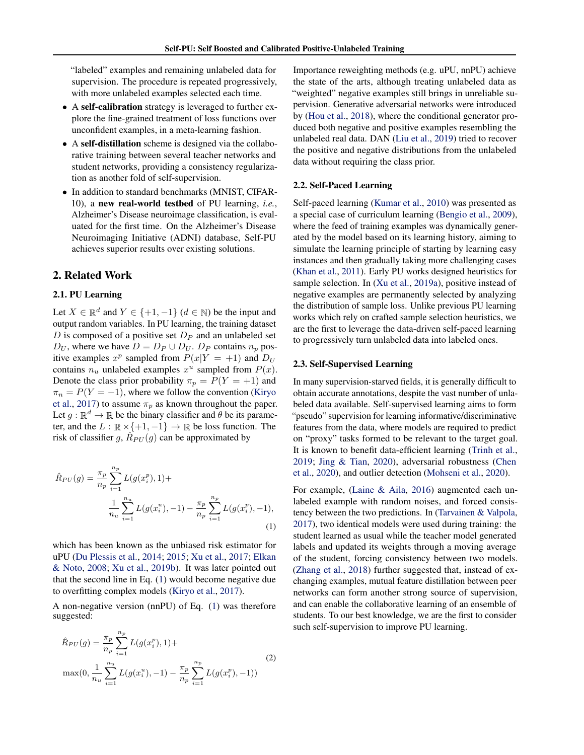<span id="page-1-0"></span>"labeled" examples and remaining unlabeled data for supervision. The procedure is repeated progressively, with more unlabeled examples selected each time.

- A self-calibration strategy is leveraged to further explore the fine-grained treatment of loss functions over unconfident examples, in a meta-learning fashion.
- A self-distillation scheme is designed via the collaborative training between several teacher networks and student networks, providing a consistency regularization as another fold of self-supervision.
- In addition to standard benchmarks (MNIST, CIFAR-10), a new real-world testbed of PU learning, *i.e.*, Alzheimer's Disease neuroimage classification, is evaluated for the first time. On the Alzheimer's Disease Neuroimaging Initiative (ADNI) database, Self-PU achieves superior results over existing solutions.

# 2. Related Work

## 2.1. PU Learning

Let  $X \in \mathbb{R}^d$  and  $Y \in \{+1, -1\}$   $(d \in \mathbb{N})$  be the input and output random variables. In PU learning, the training dataset  $D$  is composed of a positive set  $D<sub>P</sub>$  and an unlabeled set  $D_U$ , where we have  $D = D_P \cup D_U$ .  $D_P$  contains  $n_p$  positive examples  $x^p$  sampled from  $P(x|Y = +1)$  and  $D_U$ contains  $n_u$  unlabeled examples  $x^u$  sampled from  $P(x)$ . Denote the class prior probability  $\pi_p = P(Y = +1)$  and  $\pi_n = P(Y = -1)$ , where we follow the convention [\(Kiryo](#page-9-0) [et al.,](#page-9-0) [2017\)](#page-9-0) to assume  $\pi_p$  as known throughout the paper. Let  $g : \mathbb{R}^d \to \mathbb{R}$  be the binary classifier and  $\theta$  be its parameter, and the  $L : \mathbb{R} \times \{+1, -1\} \to \mathbb{R}$  be loss function. The risk of classifier g,  $\hat{R}_{PU}(g)$  can be approximated by

$$
\hat{R}_{PU}(g) = \frac{\pi_p}{n_p} \sum_{i=1}^{n_p} L(g(x_i^p), 1) +
$$
\n
$$
\frac{1}{n_u} \sum_{i=1}^{n_u} L(g(x_i^u), -1) - \frac{\pi_p}{n_p} \sum_{i=1}^{n_p} L(g(x_i^p), -1),
$$
\n(1)

which has been known as the unbiased risk estimator for uPU [\(Du Plessis et al.,](#page-9-0) [2014;](#page-9-0) [2015;](#page-9-0) [Xu et al.,](#page-10-0) [2017;](#page-10-0) [Elkan](#page-9-0) [& Noto,](#page-9-0) [2008;](#page-9-0) [Xu et al.,](#page-10-0) [2019b\)](#page-10-0). It was later pointed out that the second line in Eq. (1) would become negative due to overfitting complex models [\(Kiryo et al.,](#page-9-0) [2017\)](#page-9-0).

A non-negative version (nnPU) of Eq. (1) was therefore suggested:

$$
\hat{R}_{PU}(g) = \frac{\pi_p}{n_p} \sum_{i=1}^{n_p} L(g(x_i^p), 1) + \max(0, \frac{1}{n_u} \sum_{i=1}^{n_u} L(g(x_i^u), -1) - \frac{\pi_p}{n_p} \sum_{i=1}^{n_p} L(g(x_i^p), -1))
$$
\n(2)

Importance reweighting methods (e.g. uPU, nnPU) achieve the state of the arts, although treating unlabeled data as "weighted" negative examples still brings in unreliable supervision. Generative adversarial networks were introduced by [\(Hou et al.,](#page-9-0) [2018\)](#page-9-0), where the conditional generator produced both negative and positive examples resembling the unlabeled real data. DAN [\(Liu et al.,](#page-9-0) [2019\)](#page-9-0) tried to recover the positive and negative distributions from the unlabeled data without requiring the class prior.

#### 2.2. Self-Paced Learning

Self-paced learning [\(Kumar et al.,](#page-9-0) [2010\)](#page-9-0) was presented as a special case of curriculum learning [\(Bengio et al.,](#page-9-0) [2009\)](#page-9-0), where the feed of training examples was dynamically generated by the model based on its learning history, aiming to simulate the learning principle of starting by learning easy instances and then gradually taking more challenging cases [\(Khan et al.,](#page-9-0) [2011\)](#page-9-0). Early PU works designed heuristics for sample selection. In [\(Xu et al.,](#page-9-0) [2019a\)](#page-9-0), positive instead of negative examples are permanently selected by analyzing the distribution of sample loss. Unlike previous PU learning works which rely on crafted sample selection heuristics, we are the first to leverage the data-driven self-paced learning to progressively turn unlabeled data into labeled ones.

#### 2.3. Self-Supervised Learning

In many supervision-starved fields, it is generally difficult to obtain accurate annotations, despite the vast number of unlabeled data available. Self-supervised learning aims to form "pseudo" supervision for learning informative/discriminative features from the data, where models are required to predict on "proxy" tasks formed to be relevant to the target goal. It is known to benefit data-efficient learning [\(Trinh et al.,](#page-9-0) [2019;](#page-9-0) [Jing & Tian,](#page-9-0) [2020\)](#page-9-0), adversarial robustness [\(Chen](#page-9-0) [et al.,](#page-9-0) [2020\)](#page-9-0), and outlier detection [\(Mohseni et al.,](#page-9-0) [2020\)](#page-9-0).

For example, [\(Laine & Aila,](#page-9-0) [2016\)](#page-9-0) augmented each unlabeled example with random noises, and forced consistency between the two predictions. In [\(Tarvainen & Valpola,](#page-9-0) [2017\)](#page-9-0), two identical models were used during training: the student learned as usual while the teacher model generated labels and updated its weights through a moving average of the student, forcing consistency between two models. [\(Zhang et al.,](#page-10-0) [2018\)](#page-10-0) further suggested that, instead of exchanging examples, mutual feature distillation between peer networks can form another strong source of supervision, and can enable the collaborative learning of an ensemble of students. To our best knowledge, we are the first to consider such self-supervision to improve PU learning.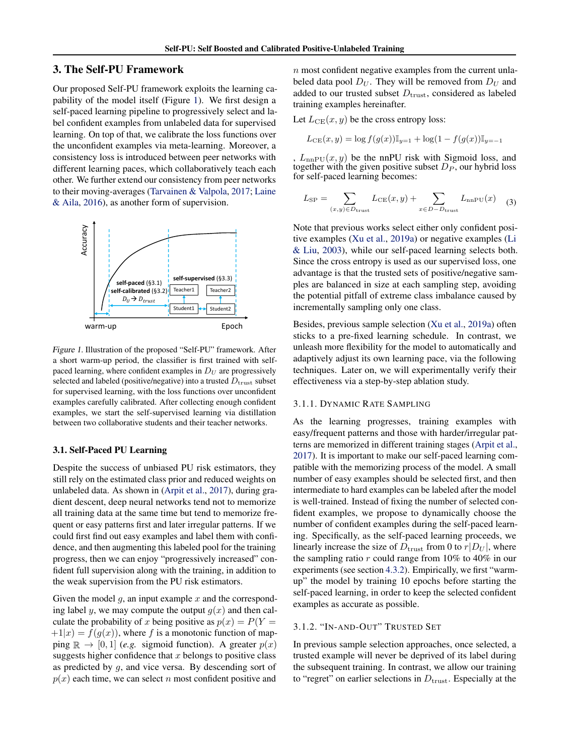# <span id="page-2-0"></span>3. The Self-PU Framework

Our proposed Self-PU framework exploits the learning capability of the model itself (Figure 1). We first design a self-paced learning pipeline to progressively select and label confident examples from unlabeled data for supervised learning. On top of that, we calibrate the loss functions over the unconfident examples via meta-learning. Moreover, a consistency loss is introduced between peer networks with different learning paces, which collaboratively teach each other. We further extend our consistency from peer networks to their moving-averages [\(Tarvainen & Valpola,](#page-9-0) [2017;](#page-9-0) [Laine](#page-9-0) [& Aila,](#page-9-0) [2016\)](#page-9-0), as another form of supervision.



Figure 1. Illustration of the proposed "Self-PU" framework. After a short warm-up period, the classifier is first trained with selfpaced learning, where confident examples in  $D_U$  are progressively selected and labeled (positive/negative) into a trusted  $D_{\text{trust}}$  subset for supervised learning, with the loss functions over unconfident examples carefully calibrated. After collecting enough confident examples, we start the self-supervised learning via distillation between two collaborative students and their teacher networks.

### 3.1. Self-Paced PU Learning

Despite the success of unbiased PU risk estimators, they still rely on the estimated class prior and reduced weights on unlabeled data. As shown in [\(Arpit et al.,](#page-8-0) [2017\)](#page-8-0), during gradient descent, deep neural networks tend not to memorize all training data at the same time but tend to memorize frequent or easy patterns first and later irregular patterns. If we could first find out easy examples and label them with confidence, and then augmenting this labeled pool for the training progress, then we can enjoy "progressively increased" confident full supervision along with the training, in addition to the weak supervision from the PU risk estimators.

Given the model  $q$ , an input example  $x$  and the corresponding label y, we may compute the output  $q(x)$  and then calculate the probability of x being positive as  $p(x) = P(Y =$  $+1|x) = f(g(x))$ , where f is a monotonic function of mapping  $\mathbb{R} \to [0, 1]$  (*e.g.* sigmoid function). A greater  $p(x)$ suggests higher confidence that  $x$  belongs to positive class as predicted by g, and vice versa. By descending sort of  $p(x)$  each time, we can select n most confident positive and

 $n$  most confident negative examples from the current unlabeled data pool  $D_U$ . They will be removed from  $D_U$  and added to our trusted subset  $D<sub>trust</sub>$ , considered as labeled training examples hereinafter.

Let  $L_{CE}(x, y)$  be the cross entropy loss:

$$
L_{CE}(x, y) = \log f(g(x))\mathbb{I}_{y=1} + \log(1 - f(g(x))\mathbb{I}_{y=-1})
$$

,  $L_{nnPU}(x, y)$  be the nnPU risk with Sigmoid loss, and together with the given positive subset  $D<sub>P</sub>$ , our hybrid loss for self-paced learning becomes:

$$
L_{\rm SP} = \sum_{(x,y)\in D_{\rm trust}} L_{\rm CE}(x,y) + \sum_{x\in D-D_{\rm trust}} L_{\rm nnPU}(x) \quad (3)
$$

Note that previous works select either only confident positive examples [\(Xu et al.,](#page-9-0) [2019a\)](#page-9-0) or negative examples [\(Li](#page-9-0) [& Liu,](#page-9-0) [2003\)](#page-9-0), while our self-paced learning selects both. Since the cross entropy is used as our supervised loss, one advantage is that the trusted sets of positive/negative samples are balanced in size at each sampling step, avoiding the potential pitfall of extreme class imbalance caused by incrementally sampling only one class.

Besides, previous sample selection [\(Xu et al.,](#page-9-0) [2019a\)](#page-9-0) often sticks to a pre-fixed learning schedule. In contrast, we unleash more flexibility for the model to automatically and adaptively adjust its own learning pace, via the following techniques. Later on, we will experimentally verify their effectiveness via a step-by-step ablation study.

# 3.1.1. DYNAMIC RATE SAMPLING

As the learning progresses, training examples with easy/frequent patterns and those with harder/irregular patterns are memorized in different training stages [\(Arpit et al.,](#page-8-0) [2017\)](#page-8-0). It is important to make our self-paced learning compatible with the memorizing process of the model. A small number of easy examples should be selected first, and then intermediate to hard examples can be labeled after the model is well-trained. Instead of fixing the number of selected confident examples, we propose to dynamically choose the number of confident examples during the self-paced learning. Specifically, as the self-paced learning proceeds, we linearly increase the size of  $D_{\text{trust}}$  from 0 to  $r|D_U|$ , where the sampling ratio  $r$  could range from 10% to 40% in our experiments (see section [4.3.2\)](#page-6-0). Empirically, we first "warmup" the model by training 10 epochs before starting the self-paced learning, in order to keep the selected confident examples as accurate as possible.

### 3.1.2. "IN-AND-OUT" TRUSTED SET

In previous sample selection approaches, once selected, a trusted example will never be deprived of its label during the subsequent training. In contrast, we allow our training to "regret" on earlier selections in  $D_{\text{trust}}$ . Especially at the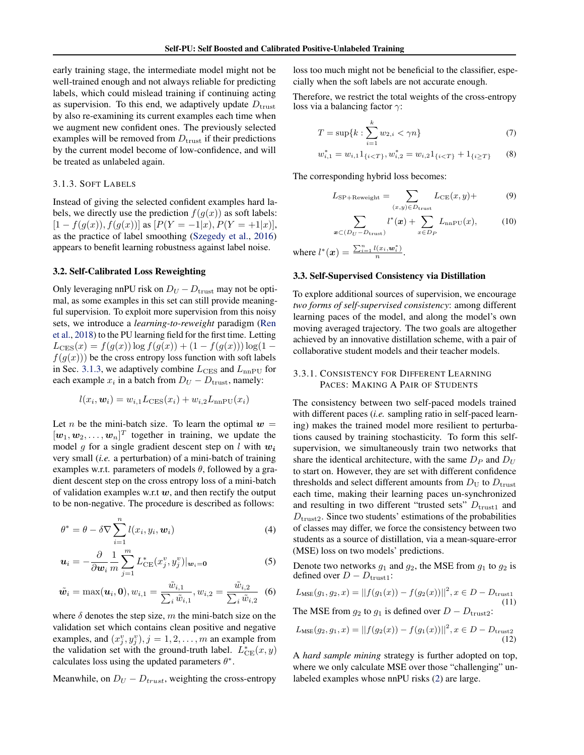<span id="page-3-0"></span>early training stage, the intermediate model might not be well-trained enough and not always reliable for predicting labels, which could mislead training if continuing acting as supervision. To this end, we adaptively update  $D_{\text{trust}}$ by also re-examining its current examples each time when we augment new confident ones. The previously selected examples will be removed from  $D_{\text{trust}}$  if their predictions by the current model become of low-confidence, and will be treated as unlabeled again.

# 3.1.3. SOFT LABELS

Instead of giving the selected confident examples hard labels, we directly use the prediction  $f(g(x))$  as soft labels:  $[1 - f(g(x)), f(g(x))]$  as  $[P(Y = -1|x), P(Y = +1|x)],$ as the practice of label smoothing [\(Szegedy et al.,](#page-9-0) [2016\)](#page-9-0) appears to benefit learning robustness against label noise.

# 3.2. Self-Calibrated Loss Reweighting

Only leveraging nnPU risk on  $D_U - D_{\text{trust}}$  may not be optimal, as some examples in this set can still provide meaningful supervision. To exploit more supervision from this noisy sets, we introduce a *learning-to-reweight* paradigm [\(Ren](#page-9-0) [et al.,](#page-9-0) [2018\)](#page-9-0) to the PU learning field for the first time. Letting  $L_{\text{CES}}(x) = f(g(x)) \log f(g(x)) + (1 - f(g(x))) \log(1$  $f(g(x))$  be the cross entropy loss function with soft labels in Sec. 3.1.3, we adaptively combine  $L_{\text{CES}}$  and  $L_{\text{nnPU}}$  for each example  $x_i$  in a batch from  $D_U - D_{\text{trust}}$ , namely:

$$
l(x_i, \mathbf{w}_i) = w_{i,1} L_{\text{CES}}(x_i) + w_{i,2} L_{\text{nnPU}}(x_i)
$$

Let *n* be the mini-batch size. To learn the optimal  $w =$  $[w_1, w_2, \dots, w_n]^T$  together in training, we update the model g for a single gradient descent step on  $l$  with  $w_i$ very small (*i.e.* a perturbation) of a mini-batch of training examples w.r.t. parameters of models  $\theta$ , followed by a gradient descent step on the cross entropy loss of a mini-batch of validation examples w.r.t  $w$ , and then rectify the output to be non-negative. The procedure is described as follows:

$$
\theta^* = \theta - \delta \nabla \sum_{i=1}^n l(x_i, y_i, \boldsymbol{w}_i)
$$
\n(4)

$$
\boldsymbol{u}_i = -\frac{\partial}{\partial \boldsymbol{w}_i} \frac{1}{m} \sum_{j=1}^m L_{\text{CE}}^*(x_j^v, y_j^v)|_{\boldsymbol{w}_i = \mathbf{0}}
$$
(5)

$$
\tilde{\boldsymbol{w}_i} = \max(\boldsymbol{u}_i, \boldsymbol{0}), w_{i,1} = \frac{\tilde{w}_{i,1}}{\sum_i \tilde{w}_{i,1}}, w_{i,2} = \frac{\tilde{w}_{i,2}}{\sum_i \tilde{w}_{i,2}} \quad (6)
$$

where  $\delta$  denotes the step size, m the mini-batch size on the validation set which contains clean positive and negative examples, and  $(x_j^v, y_j^v), j = 1, 2, \dots, m$  an example from the validation set with the ground-truth label.  $L_{\text{CE}}^{*}(x, y)$ calculates loss using the updated parameters  $\theta^*$ .

Meanwhile, on  $D_U - D_{trust}$ , weighting the cross-entropy

loss too much might not be beneficial to the classifier, especially when the soft labels are not accurate enough.

Therefore, we restrict the total weights of the cross-entropy loss via a balancing factor  $\gamma$ :

$$
T = \sup\{k : \sum_{i=1}^{k} w_{2,i} < \gamma n\} \tag{7}
$$

$$
w_{i,1}^* = w_{i,1} 1_{\{i < T\}}, w_{i,2}^* = w_{i,2} 1_{\{i < T\}} + 1_{\{i \ge T\}} \tag{8}
$$

The corresponding hybrid loss becomes:

$$
L_{\rm SP+Reweight} = \sum_{(x,y)\in D_{\rm trust}} L_{\rm CE}(x,y) +
$$
 (9)

$$
\sum_{\boldsymbol{x}\in(D_U-D_{\text{trust}})} l^*(\boldsymbol{x}) + \sum_{x\in D_P} L_{\text{nnPU}}(x),\tag{10}
$$

where  $l^*(x) = \frac{\sum_{i=1}^{n} l(x_i, w_i^*)}{n}$  $\frac{(x_i, \boldsymbol{w}_i)}{n}$ .

#### 3.3. Self-Supervised Consistency via Distillation

To explore additional sources of supervision, we encourage *two forms of self-supervised consistency*: among different learning paces of the model, and along the model's own moving averaged trajectory. The two goals are altogether achieved by an innovative distillation scheme, with a pair of collaborative student models and their teacher models.

# 3.3.1. CONSISTENCY FOR DIFFERENT LEARNING PACES: MAKING A PAIR OF STUDENTS

The consistency between two self-paced models trained with different paces (*i.e.* sampling ratio in self-paced learning) makes the trained model more resilient to perturbations caused by training stochasticity. To form this selfsupervision, we simultaneously train two networks that share the identical architecture, with the same  $D_P$  and  $D_U$ to start on. However, they are set with different confidence thresholds and select different amounts from  $D_U$  to  $D_{\text{trust}}$ each time, making their learning paces un-synchronized and resulting in two different "trusted sets"  $D_{\text{trust1}}$  and  $D<sub>trust2</sub>$ . Since two students' estimations of the probabilities of classes may differ, we force the consistency between two students as a source of distillation, via a mean-square-error (MSE) loss on two models' predictions.

Denote two networks  $g_1$  and  $g_2$ , the MSE from  $g_1$  to  $g_2$  is defined over  $D - D_{\text{trust1}}$ :

$$
L_{\text{MSE}}(g_1, g_2, x) = ||f(g_1(x)) - f(g_2(x))||^2, x \in D - D_{\text{trust1}}
$$
  
The MSE from  $g_2$  to  $g_1$  is defined over  $D - D_{\text{trust2}}$ : (11)

$$
L_{\text{MSE}}(g_2, g_1, x) = ||f(g_2(x)) - f(g_1(x))||^2, x \in D - D_{\text{trust2}}
$$
\n(12)

A *hard sample mining* strategy is further adopted on top, where we only calculate MSE over those "challenging" unlabeled examples whose nnPU risks [\(2\)](#page-1-0) are large.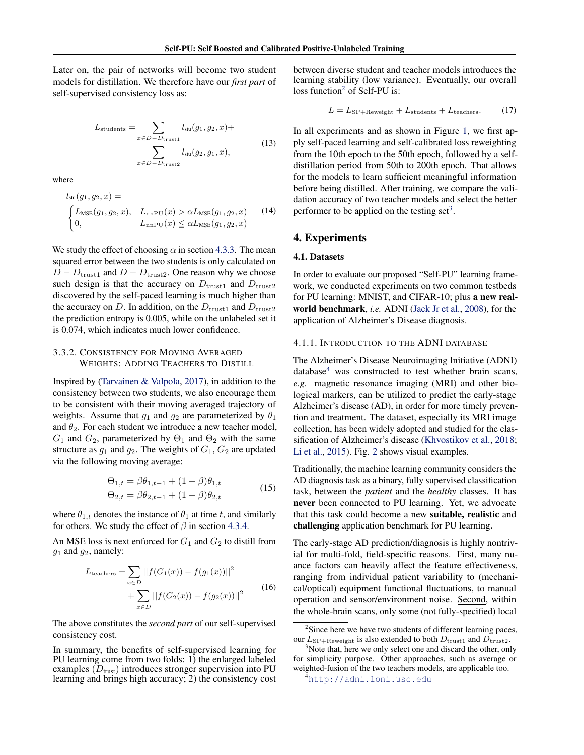<span id="page-4-0"></span>Later on, the pair of networks will become two student models for distillation. We therefore have our *first part* of self-supervised consistency loss as:

$$
L_{\text{students}} = \sum_{x \in D-D_{\text{trust1}}} l_{\text{stu}}(g_1, g_2, x) +
$$

$$
\sum_{x \in D-D_{\text{trust2}}} l_{\text{stu}}(g_2, g_1, x),
$$
(13)

where

$$
l_{\text{stu}}(g_1, g_2, x) =
$$
\n
$$
\begin{cases}\nL_{\text{MSE}}(g_1, g_2, x), & L_{\text{nnPU}}(x) > \alpha L_{\text{MSE}}(g_1, g_2, x) \\
0, & L_{\text{nnPU}}(x) \leq \alpha L_{\text{MSE}}(g_1, g_2, x)\n\end{cases}
$$
\n(14)

We study the effect of choosing  $\alpha$  in section [4.3.3.](#page-7-0) The mean squared error between the two students is only calculated on  $D - D_{\text{trust1}}$  and  $D - D_{\text{trust2}}$ . One reason why we choose such design is that the accuracy on  $D_{\text{trust1}}$  and  $D_{\text{trust2}}$ discovered by the self-paced learning is much higher than the accuracy on D. In addition, on the  $D_{\text{trust1}}$  and  $D_{\text{trust2}}$ the prediction entropy is 0.005, while on the unlabeled set it is 0.074, which indicates much lower confidence.

# 3.3.2. CONSISTENCY FOR MOVING AVERAGED WEIGHTS: ADDING TEACHERS TO DISTILL

Inspired by [\(Tarvainen & Valpola,](#page-9-0) [2017\)](#page-9-0), in addition to the consistency between two students, we also encourage them to be consistent with their moving averaged trajectory of weights. Assume that  $g_1$  and  $g_2$  are parameterized by  $\theta_1$ and  $\theta_2$ . For each student we introduce a new teacher model,  $G_1$  and  $G_2$ , parameterized by  $\Theta_1$  and  $\Theta_2$  with the same structure as  $g_1$  and  $g_2$ . The weights of  $G_1$ ,  $G_2$  are updated via the following moving average:

$$
\Theta_{1,t} = \beta \theta_{1,t-1} + (1 - \beta)\theta_{1,t}
$$
  
\n
$$
\Theta_{2,t} = \beta \theta_{2,t-1} + (1 - \beta)\theta_{2,t}
$$
\n(15)

where  $\theta_{1,t}$  denotes the instance of  $\theta_1$  at time t, and similarly for others. We study the effect of  $\beta$  in section [4.3.4.](#page-7-0)

An MSE loss is next enforced for  $G_1$  and  $G_2$  to distill from  $g_1$  and  $g_2$ , namely:

$$
L_{\text{teaches}} = \sum_{x \in D} ||f(G_1(x)) - f(g_1(x))||^2
$$
  
+ 
$$
\sum_{x \in D} ||f(G_2(x)) - f(g_2(x))||^2
$$
 (16)

The above constitutes the *second part* of our self-supervised consistency cost.

In summary, the benefits of self-supervised learning for PU learning come from two folds: 1) the enlarged labeled examples  $(D<sub>trust</sub>)$  introduces stronger supervision into PU learning and brings high accuracy; 2) the consistency cost

between diverse student and teacher models introduces the learning stability (low variance). Eventually, our overall  $loss function<sup>2</sup> of Self-PU is:$ 

$$
L = L_{\rm SP+Reweight} + L_{\rm students} + L_{\rm teachers}.
$$
 (17)

In all experiments and as shown in Figure [1,](#page-2-0) we first apply self-paced learning and self-calibrated loss reweighting from the 10th epoch to the 50th epoch, followed by a selfdistillation period from 50th to 200th epoch. That allows for the models to learn sufficient meaningful information before being distilled. After training, we compare the validation accuracy of two teacher models and select the better performer to be applied on the testing set<sup>3</sup>.

# 4. Experiments

#### 4.1. Datasets

In order to evaluate our proposed "Self-PU" learning framework, we conducted experiments on two common testbeds for PU learning: MNIST, and CIFAR-10; plus a new realworld benchmark, *i.e.* ADNI [\(Jack Jr et al.,](#page-9-0) [2008\)](#page-9-0), for the application of Alzheimer's Disease diagnosis.

#### 4.1.1. INTRODUCTION TO THE ADNI DATABASE

The Alzheimer's Disease Neuroimaging Initiative (ADNI)  $database<sup>4</sup>$  was constructed to test whether brain scans, *e.g.* magnetic resonance imaging (MRI) and other biological markers, can be utilized to predict the early-stage Alzheimer's disease (AD), in order for more timely prevention and treatment. The dataset, especially its MRI image collection, has been widely adopted and studied for the classification of Alzheimer's disease [\(Khvostikov et al.,](#page-9-0) [2018;](#page-9-0) [Li et al.,](#page-9-0) [2015\)](#page-9-0). Fig. [2](#page-5-0) shows visual examples.

Traditionally, the machine learning community considers the AD diagnosis task as a binary, fully supervised classification task, between the *patient* and the *healthy* classes. It has never been connected to PU learning. Yet, we advocate that this task could become a new suitable, realistic and challenging application benchmark for PU learning.

The early-stage AD prediction/diagnosis is highly nontrivial for multi-fold, field-specific reasons. First, many nuance factors can heavily affect the feature effectiveness, ranging from individual patient variability to (mechanical/optical) equipment functional fluctuations, to manual operation and sensor/environment noise. Second, within the whole-brain scans, only some (not fully-specified) local

<sup>&</sup>lt;sup>2</sup>Since here we have two students of different learning paces, our  $L_{\rm SP+Reweight}$  is also extended to both  $D_{\rm trust1}$  and  $D_{\rm trust2}$ .

 $3$ Note that, here we only select one and discard the other, only for simplicity purpose. Other approaches, such as average or weighted-fusion of the two teachers models, are applicable too.

 $\frac{1}{4}$ <http://adni.loni.usc.edu>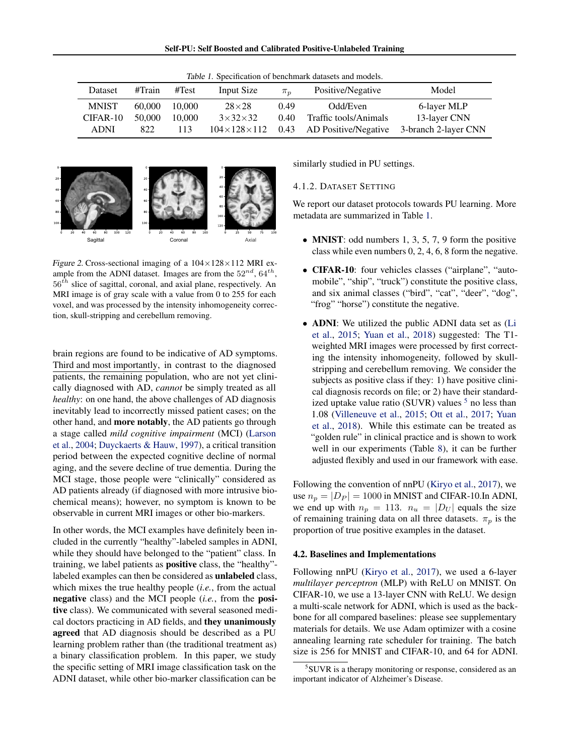| Self-PU: Self Boosted and Calibrated Positive-Unlabeled Training |  |  |  |  |
|------------------------------------------------------------------|--|--|--|--|
|------------------------------------------------------------------|--|--|--|--|

<span id="page-5-0"></span>

| Dataset                                 | #Train                  | #Test                   | Input Size                                                         | $\pi_n$                | Positive/Negative                                              | Model                                               |
|-----------------------------------------|-------------------------|-------------------------|--------------------------------------------------------------------|------------------------|----------------------------------------------------------------|-----------------------------------------------------|
| <b>MNIST</b><br>CIFAR-10<br><b>ADNI</b> | 60,000<br>50,000<br>822 | 10.000<br>10.000<br>113 | $28\times28$<br>$3\times32\times32$<br>$104 \times 128 \times 112$ | 0.49<br>$0.40^{\circ}$ | Odd/Even<br>Traffic tools/Animals<br>0.43 AD Positive/Negative | 6-layer MLP<br>13-layer CNN<br>3-branch 2-layer CNN |

Table 1. Specification of benchmark datasets and models.



Figure 2. Cross-sectional imaging of a  $104\times128\times112$  MRI example from the ADNI dataset. Images are from the  $52^{nd}$ ,  $64^{th}$ ,  $56<sup>th</sup>$  slice of sagittal, coronal, and axial plane, respectively. An MRI image is of gray scale with a value from 0 to 255 for each voxel, and was processed by the intensity inhomogeneity correction, skull-stripping and cerebellum removing.

brain regions are found to be indicative of AD symptoms. Third and most importantly, in contrast to the diagnosed patients, the remaining population, who are not yet clinically diagnosed with AD, *cannot* be simply treated as all *healthy*: on one hand, the above challenges of AD diagnosis inevitably lead to incorrectly missed patient cases; on the other hand, and more notably, the AD patients go through a stage called *mild cognitive impairment* (MCI) [\(Larson](#page-9-0) [et al.,](#page-9-0) [2004;](#page-9-0) [Duyckaerts & Hauw,](#page-9-0) [1997\)](#page-9-0), a critical transition period between the expected cognitive decline of normal aging, and the severe decline of true dementia. During the MCI stage, those people were "clinically" considered as AD patients already (if diagnosed with more intrusive biochemical means); however, no symptom is known to be observable in current MRI images or other bio-markers.

In other words, the MCI examples have definitely been included in the currently "healthy"-labeled samples in ADNI, while they should have belonged to the "patient" class. In training, we label patients as positive class, the "healthy" labeled examples can then be considered as unlabeled class, which mixes the true healthy people (*i.e.*, from the actual negative class) and the MCI people (*i.e.*, from the positive class). We communicated with several seasoned medical doctors practicing in AD fields, and they unanimously agreed that AD diagnosis should be described as a PU learning problem rather than (the traditional treatment as) a binary classification problem. In this paper, we study the specific setting of MRI image classification task on the ADNI dataset, while other bio-marker classification can be

similarly studied in PU settings.

## 4.1.2. DATASET SETTING

We report our dataset protocols towards PU learning. More metadata are summarized in Table 1.

- MNIST: odd numbers  $1, 3, 5, 7, 9$  form the positive class while even numbers 0, 2, 4, 6, 8 form the negative.
- CIFAR-10: four vehicles classes ("airplane", "automobile", "ship", "truck") constitute the positive class, and six animal classes ("bird", "cat", "deer", "dog", "frog" "horse") constitute the negative.
- **ADNI**: We utilized the public ADNI data set as [\(Li](#page-9-0) [et al.,](#page-9-0) [2015;](#page-9-0) [Yuan et al.,](#page-10-0) [2018\)](#page-10-0) suggested: The T1 weighted MRI images were processed by first correcting the intensity inhomogeneity, followed by skullstripping and cerebellum removing. We consider the subjects as positive class if they: 1) have positive clinical diagnosis records on file; or 2) have their standardized uptake value ratio (SUVR) values  $5$  no less than 1.08 [\(Villeneuve et al.,](#page-9-0) [2015;](#page-9-0) [Ott et al.,](#page-9-0) [2017;](#page-9-0) [Yuan](#page-10-0) [et al.,](#page-10-0) [2018\)](#page-10-0). While this estimate can be treated as "golden rule" in clinical practice and is shown to work well in our experiments (Table [8\)](#page-8-0), it can be further adjusted flexibly and used in our framework with ease.

Following the convention of nnPU [\(Kiryo et al.,](#page-9-0) [2017\)](#page-9-0), we use  $n_p = |D_P| = 1000$  in MNIST and CIFAR-10.In ADNI, we end up with  $n_p = 113$ .  $n_u = |D_U|$  equals the size of remaining training data on all three datasets.  $\pi_p$  is the proportion of true positive examples in the dataset.

#### 4.2. Baselines and Implementations

Following nnPU [\(Kiryo et al.,](#page-9-0) [2017\)](#page-9-0), we used a 6-layer *multilayer perceptron* (MLP) with ReLU on MNIST. On CIFAR-10, we use a 13-layer CNN with ReLU. We design a multi-scale network for ADNI, which is used as the backbone for all compared baselines: please see supplementary materials for details. We use Adam optimizer with a cosine annealing learning rate scheduler for training. The batch size is 256 for MNIST and CIFAR-10, and 64 for ADNI.

<sup>5</sup> SUVR is a therapy monitoring or response, considered as an important indicator of Alzheimer's Disease.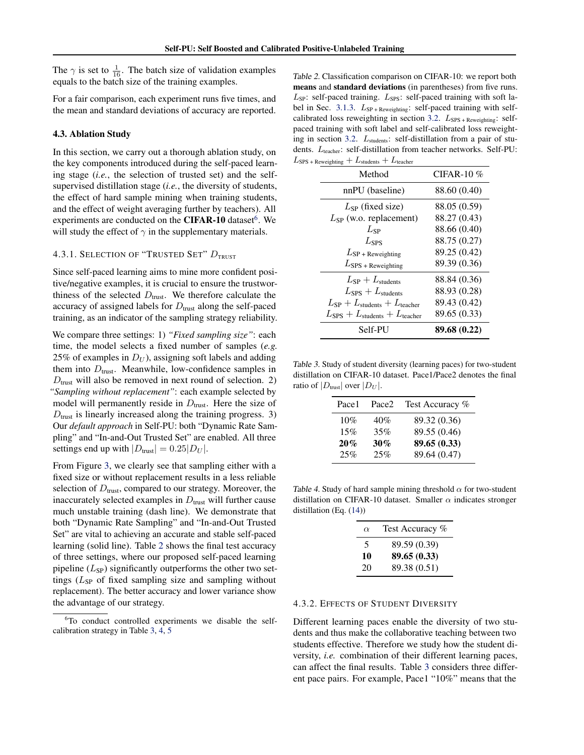<span id="page-6-0"></span>The  $\gamma$  is set to  $\frac{1}{16}$ . The batch size of validation examples equals to the batch size of the training examples.

For a fair comparison, each experiment runs five times, and the mean and standard deviations of accuracy are reported.

#### 4.3. Ablation Study

In this section, we carry out a thorough ablation study, on the key components introduced during the self-paced learning stage (*i.e.*, the selection of trusted set) and the selfsupervised distillation stage (*i.e.*, the diversity of students, the effect of hard sample mining when training students, and the effect of weight averaging further by teachers). All experiments are conducted on the CIFAR-10 dataset<sup>6</sup>. We will study the effect of  $\gamma$  in the supplementary materials.

# 4.3.1. SELECTION OF "TRUSTED SET"  $D_{\text{IRUST}}$

Since self-paced learning aims to mine more confident positive/negative examples, it is crucial to ensure the trustworthiness of the selected  $D_{\text{trust}}$ . We therefore calculate the accuracy of assigned labels for  $D<sub>trust</sub>$  along the self-paced training, as an indicator of the sampling strategy reliability.

We compare three settings: 1) *"Fixed sampling size"*: each time, the model selects a fixed number of samples (*e.g.* 25% of examples in  $D_U$ ), assigning soft labels and adding them into  $D<sub>trust</sub>$ . Meanwhile, low-confidence samples in  $D<sub>trust</sub>$  will also be removed in next round of selection. 2) *"Sampling without replacement"*: each example selected by model will permanently reside in  $D<sub>trust</sub>$ . Here the size of  $D<sub>trust</sub>$  is linearly increased along the training progress. 3) Our *default approach* in Self-PU: both "Dynamic Rate Sampling" and "In-and-Out Trusted Set" are enabled. All three settings end up with  $|D_{\text{trust}}| = 0.25|D_U|$ .

From Figure [3,](#page-7-0) we clearly see that sampling either with a fixed size or without replacement results in a less reliable selection of  $D<sub>trust</sub>$ , compared to our strategy. Moreover, the inaccurately selected examples in  $D<sub>trust</sub>$  will further cause much unstable training (dash line). We demonstrate that both "Dynamic Rate Sampling" and "In-and-Out Trusted Set" are vital to achieving an accurate and stable self-paced learning (solid line). Table 2 shows the final test accuracy of three settings, where our proposed self-paced learning pipeline  $(L_{SP})$  significantly outperforms the other two settings  $(L_{SP}$  of fixed sampling size and sampling without replacement). The better accuracy and lower variance show the advantage of our strategy.

Table 2. Classification comparison on CIFAR-10: we report both means and standard deviations (in parentheses) from five runs.  $L_{SP}$ : self-paced training.  $L_{SPS}$ : self-paced training with soft la-bel in Sec. [3.1.3.](#page-3-0)  $L_{SP+Reweighting}$ : self-paced training with self-calibrated loss reweighting in section [3.2.](#page-3-0) L<sub>SPS + Reweighting</sub>: selfpaced training with soft label and self-calibrated loss reweight-ing in section [3.2.](#page-3-0)  $L_{\text{students}}$ : self-distillation from a pair of students. Lteacher: self-distillation from teacher networks. Self-PU:  $L_{\text{SPS + Reweighting}} + L_{\text{students}} + L_{\text{teacher}}$ 

| Method                                               | CIFAR-10 $%$ |
|------------------------------------------------------|--------------|
| nnPU (baseline)                                      | 88.60 (0.40) |
| $L_{SP}$ (fixed size)                                | 88.05 (0.59) |
| $L_{SP}$ (w.o. replacement)                          | 88.27 (0.43) |
| $L_{SP}$                                             | 88.66 (0.40) |
| $L_{SPS}$                                            | 88.75 (0.27) |
| $L_{\text{SP + Reweighting}}$                        | 89.25 (0.42) |
| $L_{\rm SPS}$ + Reweighting                          | 89.39 (0.36) |
| $L_{SP} + L_{\text{students}}$                       | 88.84 (0.36) |
| $L_{SPS} + L_{\text{students}}$                      | 88.93 (0.28) |
| $L_{\rm SP} + L_{\rm students} + L_{\rm teacher}$    | 89.43 (0.42) |
| $L_{SPS} + L_{\text{students}} + L_{\text{teacher}}$ | 89.65 (0.33) |
| Self-PU                                              | 89.68 (0.22) |

Table 3. Study of student diversity (learning paces) for two-student distillation on CIFAR-10 dataset. Pace1/Pace2 denotes the final ratio of  $|D_{\text{trust}}|$  over  $|D_U|$ .

| Pace1 | Pace2 | Test Accuracy % |
|-------|-------|-----------------|
| 10%   | 40%   | 89.32 (0.36)    |
| 15%   | 35%   | 89.55 (0.46)    |
| 20%   | 30%   | 89.65 (0.33)    |
| 25%   | 25%   | 89.64 (0.47)    |

Table 4. Study of hard sample mining threshold  $\alpha$  for two-student distillation on CIFAR-10 dataset. Smaller  $\alpha$  indicates stronger distillation (Eq. [\(14\)](#page-4-0))

| $\alpha$ | Test Accuracy % |
|----------|-----------------|
| 5        | 89.59 (0.39)    |
| 10       | 89.65 (0.33)    |
| 20       | 89.38 (0.51)    |
|          |                 |

#### 4.3.2. EFFECTS OF STUDENT DIVERSITY

Different learning paces enable the diversity of two students and thus make the collaborative teaching between two students effective. Therefore we study how the student diversity, *i.e.* combination of their different learning paces, can affect the final results. Table 3 considers three different pace pairs. For example, Pace1 "10%" means that the

<sup>&</sup>lt;sup>6</sup>To conduct controlled experiments we disable the selfcalibration strategy in Table 3, 4, [5](#page-7-0)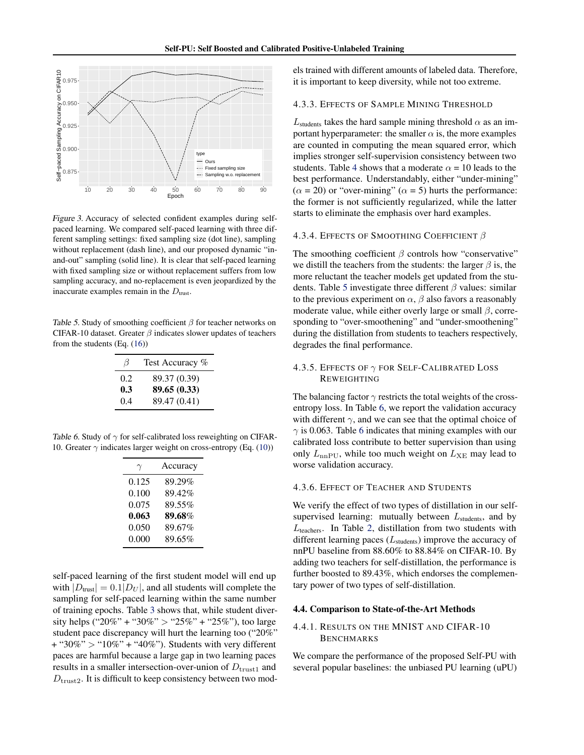<span id="page-7-0"></span>

Figure 3. Accuracy of selected confident examples during selfpaced learning. We compared self-paced learning with three different sampling settings: fixed sampling size (dot line), sampling without replacement (dash line), and our proposed dynamic "inand-out" sampling (solid line). It is clear that self-paced learning with fixed sampling size or without replacement suffers from low sampling accuracy, and no-replacement is even jeopardized by the inaccurate examples remain in the  $D_{\text{trust}}$ .

Table 5. Study of smoothing coefficient  $\beta$  for teacher networks on CIFAR-10 dataset. Greater  $\beta$  indicates slower updates of teachers from the students (Eq. [\(16\)](#page-4-0))

| B   | Test Accuracy % |
|-----|-----------------|
| 0.2 | 89.37 (0.39)    |
| 0.3 | 89.65 (0.33)    |
| 0.4 | 89.47 (0.41)    |

Table 6. Study of  $\gamma$  for self-calibrated loss reweighting on CIFAR-10. Greater  $\gamma$  indicates larger weight on cross-entropy (Eq. [\(10\)](#page-3-0))

| γ     | Accuracy |
|-------|----------|
| 0.125 | 89.29%   |
| 0.100 | 89.42%   |
| 0.075 | 89.55%   |
| 0.063 | 89.68%   |
| 0.050 | 89.67%   |
| 0.000 | 89.65%   |

self-paced learning of the first student model will end up with  $|D_{\text{trust}}| = 0.1|D_U|$ , and all students will complete the sampling for self-paced learning within the same number of training epochs. Table [3](#page-6-0) shows that, while student diversity helps ("20%" + "30%" > "25%" + "25%"), too large student pace discrepancy will hurt the learning too ("20%"  $+$  "30%" > "10%" + "40%"). Students with very different paces are harmful because a large gap in two learning paces results in a smaller intersection-over-union of  $D_{\text{trust1}}$  and  $D<sub>trust2</sub>$ . It is difficult to keep consistency between two models trained with different amounts of labeled data. Therefore, it is important to keep diversity, while not too extreme.

#### 4.3.3. EFFECTS OF SAMPLE MINING THRESHOLD

 $L_{\text{students}}$  takes the hard sample mining threshold  $\alpha$  as an important hyperparameter: the smaller  $\alpha$  is, the more examples are counted in computing the mean squared error, which implies stronger self-supervision consistency between two students. Table [4](#page-6-0) shows that a moderate  $\alpha = 10$  leads to the best performance. Understandably, either "under-mining"  $(\alpha = 20)$  or "over-mining"  $(\alpha = 5)$  hurts the performance: the former is not sufficiently regularized, while the latter starts to eliminate the emphasis over hard examples.

#### 4.3.4. EFFECTS OF SMOOTHING COEFFICIENT  $\beta$

The smoothing coefficient  $\beta$  controls how "conservative" we distill the teachers from the students: the larger  $\beta$  is, the more reluctant the teacher models get updated from the students. Table 5 investigate three different  $\beta$  values: similar to the previous experiment on  $\alpha$ ,  $\beta$  also favors a reasonably moderate value, while either overly large or small  $\beta$ , corresponding to "over-smoothening" and "under-smoothening" during the distillation from students to teachers respectively, degrades the final performance.

# 4.3.5. EFFECTS OF  $\gamma$  for Self-Calibrated Loss REWEIGHTING

The balancing factor  $\gamma$  restricts the total weights of the crossentropy loss. In Table 6, we report the validation accuracy with different  $\gamma$ , and we can see that the optimal choice of  $\gamma$  is 0.063. Table 6 indicates that mining examples with our calibrated loss contribute to better supervision than using only  $L_{\text{nnPU}}$ , while too much weight on  $L_{\text{XE}}$  may lead to worse validation accuracy.

#### 4.3.6. EFFECT OF TEACHER AND STUDENTS

We verify the effect of two types of distillation in our selfsupervised learning: mutually between  $L_{\text{students}}$ , and by  $L_{\text{teaches}}$ . In Table [2,](#page-6-0) distillation from two students with different learning paces  $(L_{\text{students}})$  improve the accuracy of nnPU baseline from 88.60% to 88.84% on CIFAR-10. By adding two teachers for self-distillation, the performance is further boosted to 89.43%, which endorses the complementary power of two types of self-distillation.

#### 4.4. Comparison to State-of-the-Art Methods

# 4.4.1. RESULTS ON THE MNIST AND CIFAR-10 BENCHMARKS

We compare the performance of the proposed Self-PU with several popular baselines: the unbiased PU learning (uPU)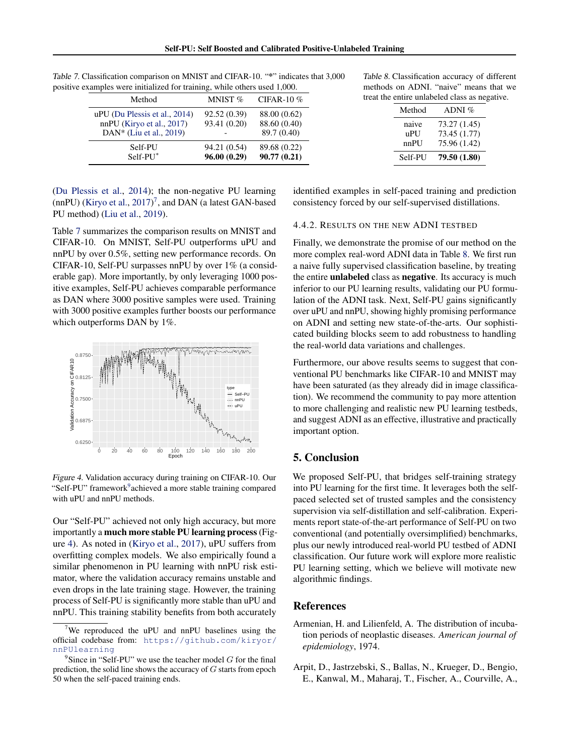| Method                                                                                  | MNIST $%$                    | CIFAR-10 $%$                                |
|-----------------------------------------------------------------------------------------|------------------------------|---------------------------------------------|
| uPU (Du Plessis et al., 2014)<br>$nnPU$ (Kiryo et al., 2017)<br>DAN* (Liu et al., 2019) | 92.52 (0.39)<br>93.41 (0.20) | 88.00 (0.62)<br>88.60 (0.40)<br>89.7 (0.40) |
| Self-PU<br>Self-PU*                                                                     | 94.21 (0.54)<br>96.00(0.29)  | 89.68 (0.22)<br>90.77(0.21)                 |

<span id="page-8-0"></span>Table 7. Classification comparison on MNIST and CIFAR-10. "\*" indicates that 3,000 positive examples were initialized for training, while others used 1,000.

Table 8. Classification accuracy of different methods on ADNI. "naive" means that we treat the entire unlabeled class as negative.

| Method      | ADNI $%$                     |
|-------------|------------------------------|
| naive       | 73.27 (1.45)                 |
| uPU<br>nnPU | 73.45 (1.77)<br>75.96 (1.42) |
| Self-PU     | 79.50 (1.80)                 |

[\(Du Plessis et al.,](#page-9-0) [2014\)](#page-9-0); the non-negative PU learning  $(nnPU)$  [\(Kiryo et al.,](#page-9-0)  $2017$ )<sup>7</sup>, and DAN (a latest GAN-based PU method) [\(Liu et al.,](#page-9-0) [2019\)](#page-9-0).

Table 7 summarizes the comparison results on MNIST and CIFAR-10. On MNIST, Self-PU outperforms uPU and nnPU by over 0.5%, setting new performance records. On CIFAR-10, Self-PU surpasses nnPU by over 1% (a considerable gap). More importantly, by only leveraging 1000 positive examples, Self-PU achieves comparable performance as DAN where 3000 positive samples were used. Training with 3000 positive examples further boosts our performance which outperforms DAN by 1%.



Figure 4. Validation accuracy during training on CIFAR-10. Our "Self-PU" framework achieved a more stable training compared with uPU and nnPU methods.

Our "Self-PU" achieved not only high accuracy, but more importantly a much more stable PU learning process (Figure 4). As noted in [\(Kiryo et al.,](#page-9-0) [2017\)](#page-9-0), uPU suffers from overfitting complex models. We also empirically found a similar phenomenon in PU learning with nnPU risk estimator, where the validation accuracy remains unstable and even drops in the late training stage. However, the training process of Self-PU is significantly more stable than uPU and nnPU. This training stability benefits from both accurately

identified examples in self-paced training and prediction consistency forced by our self-supervised distillations.

### 4.4.2. RESULTS ON THE NEW ADNI TESTBED

Finally, we demonstrate the promise of our method on the more complex real-word ADNI data in Table 8. We first run a naive fully supervised classification baseline, by treating the entire unlabeled class as negative. Its accuracy is much inferior to our PU learning results, validating our PU formulation of the ADNI task. Next, Self-PU gains significantly over uPU and nnPU, showing highly promising performance on ADNI and setting new state-of-the-arts. Our sophisticated building blocks seem to add robustness to handling the real-world data variations and challenges.

Furthermore, our above results seems to suggest that conventional PU benchmarks like CIFAR-10 and MNIST may have been saturated (as they already did in image classification). We recommend the community to pay more attention to more challenging and realistic new PU learning testbeds, and suggest ADNI as an effective, illustrative and practically important option.

# 5. Conclusion

We proposed Self-PU, that bridges self-training strategy into PU learning for the first time. It leverages both the selfpaced selected set of trusted samples and the consistency supervision via self-distillation and self-calibration. Experiments report state-of-the-art performance of Self-PU on two conventional (and potentially oversimplified) benchmarks, plus our newly introduced real-world PU testbed of ADNI classification. Our future work will explore more realistic PU learning setting, which we believe will motivate new algorithmic findings.

#### References

- Armenian, H. and Lilienfeld, A. The distribution of incubation periods of neoplastic diseases. *American journal of epidemiology*, 1974.
- Arpit, D., Jastrzebski, S., Ballas, N., Krueger, D., Bengio, E., Kanwal, M., Maharaj, T., Fischer, A., Courville, A.,

<sup>7</sup>We reproduced the uPU and nnPU baselines using the official codebase from: [https://github.com/kiryor/](https://github.com/kiryor/nnPUlearning) [nnPUlearning](https://github.com/kiryor/nnPUlearning)

 $9^9$ Since in "Self-PU" we use the teacher model G for the final prediction, the solid line shows the accuracy of  $G$  starts from epoch 50 when the self-paced training ends.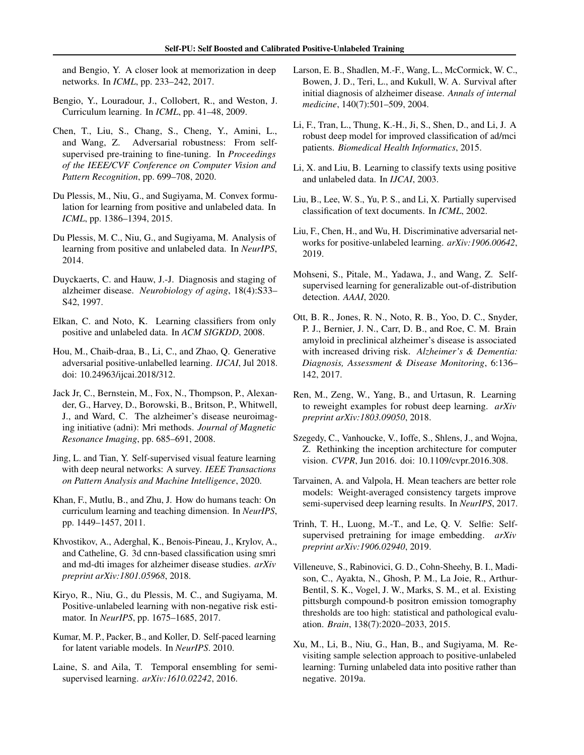<span id="page-9-0"></span>and Bengio, Y. A closer look at memorization in deep networks. In *ICML*, pp. 233–242, 2017.

- Bengio, Y., Louradour, J., Collobert, R., and Weston, J. Curriculum learning. In *ICML*, pp. 41–48, 2009.
- Chen, T., Liu, S., Chang, S., Cheng, Y., Amini, L., and Wang, Z. Adversarial robustness: From selfsupervised pre-training to fine-tuning. In *Proceedings of the IEEE/CVF Conference on Computer Vision and Pattern Recognition*, pp. 699–708, 2020.
- Du Plessis, M., Niu, G., and Sugiyama, M. Convex formulation for learning from positive and unlabeled data. In *ICML*, pp. 1386–1394, 2015.
- Du Plessis, M. C., Niu, G., and Sugiyama, M. Analysis of learning from positive and unlabeled data. In *NeurIPS*, 2014.
- Duyckaerts, C. and Hauw, J.-J. Diagnosis and staging of alzheimer disease. *Neurobiology of aging*, 18(4):S33– S42, 1997.
- Elkan, C. and Noto, K. Learning classifiers from only positive and unlabeled data. In *ACM SIGKDD*, 2008.
- Hou, M., Chaib-draa, B., Li, C., and Zhao, Q. Generative adversarial positive-unlabelled learning. *IJCAI*, Jul 2018. doi: 10.24963/ijcai.2018/312.
- Jack Jr, C., Bernstein, M., Fox, N., Thompson, P., Alexander, G., Harvey, D., Borowski, B., Britson, P., Whitwell, J., and Ward, C. The alzheimer's disease neuroimaging initiative (adni): Mri methods. *Journal of Magnetic Resonance Imaging*, pp. 685–691, 2008.
- Jing, L. and Tian, Y. Self-supervised visual feature learning with deep neural networks: A survey. *IEEE Transactions on Pattern Analysis and Machine Intelligence*, 2020.
- Khan, F., Mutlu, B., and Zhu, J. How do humans teach: On curriculum learning and teaching dimension. In *NeurIPS*, pp. 1449–1457, 2011.
- Khvostikov, A., Aderghal, K., Benois-Pineau, J., Krylov, A., and Catheline, G. 3d cnn-based classification using smri and md-dti images for alzheimer disease studies. *arXiv preprint arXiv:1801.05968*, 2018.
- Kiryo, R., Niu, G., du Plessis, M. C., and Sugiyama, M. Positive-unlabeled learning with non-negative risk estimator. In *NeurIPS*, pp. 1675–1685, 2017.
- Kumar, M. P., Packer, B., and Koller, D. Self-paced learning for latent variable models. In *NeurIPS*. 2010.
- Laine, S. and Aila, T. Temporal ensembling for semisupervised learning. *arXiv:1610.02242*, 2016.
- Larson, E. B., Shadlen, M.-F., Wang, L., McCormick, W. C., Bowen, J. D., Teri, L., and Kukull, W. A. Survival after initial diagnosis of alzheimer disease. *Annals of internal medicine*, 140(7):501–509, 2004.
- Li, F., Tran, L., Thung, K.-H., Ji, S., Shen, D., and Li, J. A robust deep model for improved classification of ad/mci patients. *Biomedical Health Informatics*, 2015.
- Li, X. and Liu, B. Learning to classify texts using positive and unlabeled data. In *IJCAI*, 2003.
- Liu, B., Lee, W. S., Yu, P. S., and Li, X. Partially supervised classification of text documents. In *ICML*, 2002.
- Liu, F., Chen, H., and Wu, H. Discriminative adversarial networks for positive-unlabeled learning. *arXiv:1906.00642*, 2019.
- Mohseni, S., Pitale, M., Yadawa, J., and Wang, Z. Selfsupervised learning for generalizable out-of-distribution detection. *AAAI*, 2020.
- Ott, B. R., Jones, R. N., Noto, R. B., Yoo, D. C., Snyder, P. J., Bernier, J. N., Carr, D. B., and Roe, C. M. Brain amyloid in preclinical alzheimer's disease is associated with increased driving risk. *Alzheimer's & Dementia: Diagnosis, Assessment & Disease Monitoring*, 6:136– 142, 2017.
- Ren, M., Zeng, W., Yang, B., and Urtasun, R. Learning to reweight examples for robust deep learning. *arXiv preprint arXiv:1803.09050*, 2018.
- Szegedy, C., Vanhoucke, V., Ioffe, S., Shlens, J., and Wojna, Z. Rethinking the inception architecture for computer vision. *CVPR*, Jun 2016. doi: 10.1109/cvpr.2016.308.
- Tarvainen, A. and Valpola, H. Mean teachers are better role models: Weight-averaged consistency targets improve semi-supervised deep learning results. In *NeurIPS*, 2017.
- Trinh, T. H., Luong, M.-T., and Le, Q. V. Selfie: Selfsupervised pretraining for image embedding. *arXiv preprint arXiv:1906.02940*, 2019.
- Villeneuve, S., Rabinovici, G. D., Cohn-Sheehy, B. I., Madison, C., Ayakta, N., Ghosh, P. M., La Joie, R., Arthur-Bentil, S. K., Vogel, J. W., Marks, S. M., et al. Existing pittsburgh compound-b positron emission tomography thresholds are too high: statistical and pathological evaluation. *Brain*, 138(7):2020–2033, 2015.
- Xu, M., Li, B., Niu, G., Han, B., and Sugiyama, M. Revisiting sample selection approach to positive-unlabeled learning: Turning unlabeled data into positive rather than negative. 2019a.